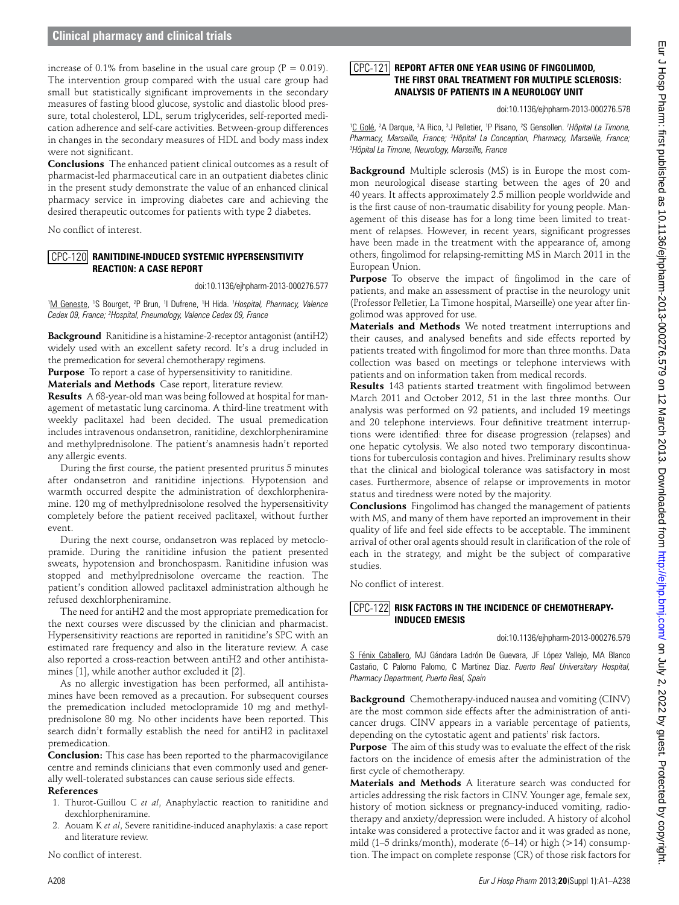## **Clinical pharmacy and clinical trials**

increase of 0.1% from baseline in the usual care group ( $P = 0.019$ ). The intervention group compared with the usual care group had small but statistically significant improvements in the secondary measures of fasting blood glucose, systolic and diastolic blood pressure, total cholesterol, LDL, serum triglycerides, self-reported medication adherence and self-care activities. Between-group differences in changes in the secondary measures of HDL and body mass index were not significant.

**Conclusions** The enhanced patient clinical outcomes as a result of pharmacist-led pharmaceutical care in an outpatient diabetes clinic in the present study demonstrate the value of an enhanced clinical pharmacy service in improving diabetes care and achieving the desired therapeutic outcomes for patients with type 2 diabetes.

No conflict of interest.

#### CPC-120 **RANITIDINE-INDUCED SYSTEMIC HYPERSENSITIVIT Reaction: A Case Report**

doi:10.1136/ejhpharm-2013-000276.577

<sup>1</sup>M Geneste, <sup>1</sup>S Bourget, <sup>2</sup>P Brun, <sup>1</sup>I Dufrene, <sup>1</sup>H Hida. <sup>1</sup> Hospital, Pharmacy, Valence *Cedex 09, France; 2 Hospital, Pneumology, Valence Cedex 09, France* 

**Background** Ranitidine is a histamine-2-receptor antagonist (antiH2) widely used with an excellent safety record. It's a drug included in the premedication for several chemotherapy regimens.

**Purpose** To report a case of hypersensitivity to ranitidine.

**Materials and Methods** Case report, literature review.

**Results** A 68-year-old man was being followed at hospital for management of metastatic lung carcinoma. A third-line treatment with weekly paclitaxel had been decided. The usual premedication includes intravenous ondansetron, ranitidine, dexchlorpheniramine and methylprednisolone. The patient's anamnesis hadn't reported any allergic events.

During the first course, the patient presented pruritus 5 minutes after ondansetron and ranitidine injections. Hypotension and warmth occurred despite the administration of dexchlorpheniramine. 120 mg of methylprednisolone resolved the hypersensitivity completely before the patient received paclitaxel, without further event.

During the next course, ondansetron was replaced by metoclopramide. During the ranitidine infusion the patient presented sweats, hypotension and bronchospasm. Ranitidine infusion was stopped and methylprednisolone overcame the reaction. The patient's condition allowed paclitaxel administration although he refused dexchlorpheniramine.

The need for antiH2 and the most appropriate premedication for the next courses were discussed by the clinician and pharmacist. Hypersensitivity reactions are reported in ranitidine's SPC with an estimated rare frequency and also in the literature review. A case also reported a cross-reaction between antiH2 and other antihistamines [1], while another author excluded it [2].

As no allergic investigation has been performed, all antihistamines have been removed as a precaution. For subsequent courses the premedication included metoclopramide 10 mg and methylprednisolone 80 mg. No other incidents have been reported. This search didn't formally establish the need for antiH2 in paclitaxel premedication.

**Conclusion:** This case has been reported to the pharmacovigilance centre and reminds clinicians that even commonly used and generally well-tolerated substances can cause serious side effects. **References**

- 1. Thurot-Guillou C *et al*, Anaphylactic reaction to ranitidine and dexchlorpheniramine.
- 2. Aouam K *et al*, Severe ranitidine-induced anaphylaxis: a case report and literature review.

No conflict of interest.

### **Report After One Year Using of Fingolimod,**  CPC-121 **the First Oral Treatment For Multiple Sclerosis: Analysis of Patients in a Neurology Unit**

doi:10.1136/ejhpharm-2013-000276.578

<sup>1</sup>C Golé, <sup>2</sup>A Darque, <sup>3</sup>A Rico, <sup>3</sup>J Pelletier, <sup>1</sup>P Pisano, <sup>2</sup>S Gensollen. *<sup>1</sup> Hôpital La Timone,* Pharmacy, Marseille, France; <sup>2</sup>Hôpital La Conception, Pharmacy, Marseille, France;<br><sup>3</sup>Hôpital La Timone, Neurology, Marseille, France *Hôpital La Timone, Neurology, Marseille, France* 

**Background** Multiple sclerosis (MS) is in Europe the most common neurological disease starting between the ages of 20 and 40 years. It affects approximately 2.5 million people worldwide and is the first cause of non-traumatic disability for young people. Management of this disease has for a long time been limited to treatment of relapses. However, in recent years, significant progresses have been made in the treatment with the appearance of, among others, fingolimod for relapsing-remitting MS in March 2011 in the European Union.

**Purpose** To observe the impact of fingolimod in the care of patients, and make an assessment of practise in the neurology unit (Professor Pelletier, La Timone hospital, Marseille) one year after fingolimod was approved for use.

**Materials and Methods** We noted treatment interruptions and their causes, and analysed benefits and side effects reported by patients treated with fingolimod for more than three months. Data collection was based on meetings or telephone interviews with patients and on information taken from medical records.

**Results** 143 patients started treatment with fingolimod between March 2011 and October 2012, 51 in the last three months. Our analysis was performed on 92 patients, and included 19 meetings and 20 telephone interviews. Four definitive treatment interruptions were identified: three for disease progression (relapses) and one hepatic cytolysis. We also noted two temporary discontinuations for tuberculosis contagion and hives. Preliminary results show that the clinical and biological tolerance was satisfactory in most cases. Furthermore, absence of relapse or improvements in motor status and tiredness were noted by the majority.

**Conclusions** Fingolimod has changed the management of patients with MS, and many of them have reported an improvement in their quality of life and feel side effects to be acceptable. The imminent arrival of other oral agents should result in clarification of the role of each in the strategy, and might be the subject of comparative studies.

No conflict of interest.

### **Risk Factors in the Incidence of Chemotherapy-**CPC-122 **Induced Emesis**

doi:10.1136/ejhpharm-2013-000276.579

S Fénix Caballero, MJ Gándara Ladrón De Guevara, JF López Vallejo, MA Blanco Castaño, C Palomo Palomo, C Martinez Diaz. *Puerto Real Universitary Hospital, Pharmacy Department, Puerto Real, Spain* 

**Background** Chemotherapy-induced nausea and vomiting (CINV) are the most common side effects after the administration of anticancer drugs. CINV appears in a variable percentage of patients, depending on the cytostatic agent and patients' risk factors.

**Purpose** The aim of this study was to evaluate the effect of the risk factors on the incidence of emesis after the administration of the first cycle of chemotherapy.

**Materials and Methods** A literature search was conducted for articles addressing the risk factors in CINV. Younger age, female sex, history of motion sickness or pregnancy-induced vomiting, radiotherapy and anxiety/depression were included. A history of alcohol intake was considered a protective factor and it was graded as none, mild (1–5 drinks/month), moderate (6–14) or high (>14) consumption. The impact on complete response (CR) of those risk factors for